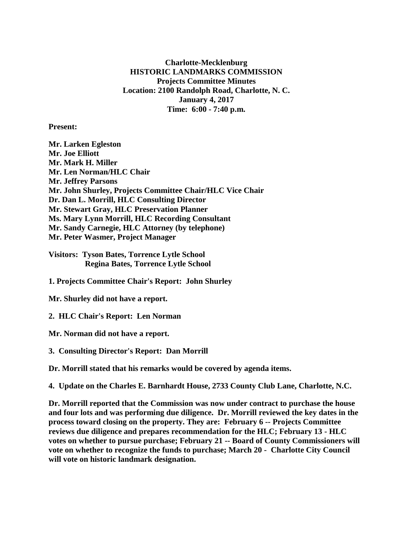**Charlotte-Mecklenburg HISTORIC LANDMARKS COMMISSION Projects Committee Minutes Location: 2100 Randolph Road, Charlotte, N. C. January 4, 2017 Time: 6:00 - 7:40 p.m.**

**Present:**

**Mr. Larken Egleston Mr. Joe Elliott Mr. Mark H. Miller Mr. Len Norman/HLC Chair Mr. Jeffrey Parsons Mr. John Shurley, Projects Committee Chair/HLC Vice Chair Dr. Dan L. Morrill, HLC Consulting Director Mr. Stewart Gray, HLC Preservation Planner Ms. Mary Lynn Morrill, HLC Recording Consultant Mr. Sandy Carnegie, HLC Attorney (by telephone) Mr. Peter Wasmer, Project Manager**

**Visitors: Tyson Bates, Torrence Lytle School Regina Bates, Torrence Lytle School**

**1. Projects Committee Chair's Report: John Shurley**

**Mr. Shurley did not have a report.**

**2. HLC Chair's Report: Len Norman**

**Mr. Norman did not have a report.**

**3. Consulting Director's Report: Dan Morrill**

**Dr. Morrill stated that his remarks would be covered by agenda items.**

**4. Update on the Charles E. Barnhardt House, 2733 County Club Lane, Charlotte, N.C.**

**Dr. Morrill reported that the Commission was now under contract to purchase the house and four lots and was performing due diligence. Dr. Morrill reviewed the key dates in the process toward closing on the property. They are: February 6 -- Projects Committee reviews due diligence and prepares recommendation for the HLC; February 13 - HLC votes on whether to pursue purchase; February 21 -- Board of County Commissioners will vote on whether to recognize the funds to purchase; March 20 - Charlotte City Council will vote on historic landmark designation.**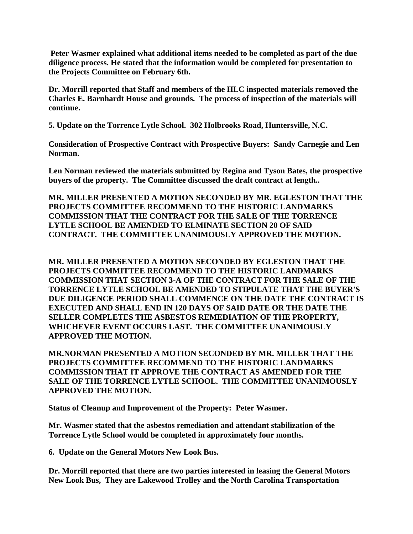**Peter Wasmer explained what additional items needed to be completed as part of the due diligence process. He stated that the information would be completed for presentation to the Projects Committee on February 6th.**

**Dr. Morrill reported that Staff and members of the HLC inspected materials removed the Charles E. Barnhardt House and grounds. The process of inspection of the materials will continue.**

**5. Update on the Torrence Lytle School. 302 Holbrooks Road, Huntersville, N.C.** 

**Consideration of Prospective Contract with Prospective Buyers: Sandy Carnegie and Len Norman.**

**Len Norman reviewed the materials submitted by Regina and Tyson Bates, the prospective buyers of the property. The Committee discussed the draft contract at length..**

**MR. MILLER PRESENTED A MOTION SECONDED BY MR. EGLESTON THAT THE PROJECTS COMMITTEE RECOMMEND TO THE HISTORIC LANDMARKS COMMISSION THAT THE CONTRACT FOR THE SALE OF THE TORRENCE LYTLE SCHOOL BE AMENDED TO ELMINATE SECTION 20 OF SAID CONTRACT. THE COMMITTEE UNANIMOUSLY APPROVED THE MOTION.** 

**MR. MILLER PRESENTED A MOTION SECONDED BY EGLESTON THAT THE PROJECTS COMMITTEE RECOMMEND TO THE HISTORIC LANDMARKS COMMISSION THAT SECTION 3-A OF THE CONTRACT FOR THE SALE OF THE TORRENCE LYTLE SCHOOL BE AMENDED TO STIPULATE THAT THE BUYER'S DUE DILIGENCE PERIOD SHALL COMMENCE ON THE DATE THE CONTRACT IS EXECUTED AND SHALL END IN 120 DAYS OF SAID DATE OR THE DATE THE SELLER COMPLETES THE ASBESTOS REMEDIATION OF THE PROPERTY, WHICHEVER EVENT OCCURS LAST. THE COMMITTEE UNANIMOUSLY APPROVED THE MOTION.**

**MR.NORMAN PRESENTED A MOTION SECONDED BY MR. MILLER THAT THE PROJECTS COMMITTEE RECOMMEND TO THE HISTORIC LANDMARKS COMMISSION THAT IT APPROVE THE CONTRACT AS AMENDED FOR THE SALE OF THE TORRENCE LYTLE SCHOOL. THE COMMITTEE UNANIMOUSLY APPROVED THE MOTION.**

**Status of Cleanup and Improvement of the Property: Peter Wasmer.**

**Mr. Wasmer stated that the asbestos remediation and attendant stabilization of the Torrence Lytle School would be completed in approximately four months.**

**6. Update on the General Motors New Look Bus.**

**Dr. Morrill reported that there are two parties interested in leasing the General Motors New Look Bus, They are Lakewood Trolley and the North Carolina Transportation**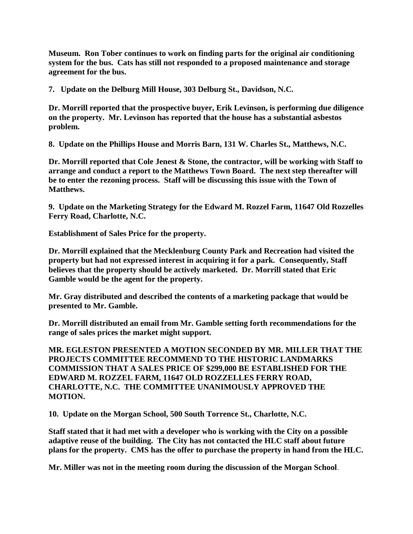**Museum. Ron Tober continues to work on finding parts for the original air conditioning system for the bus. Cats has still not responded to a proposed maintenance and storage agreement for the bus.**

**7. Update on the Delburg Mill House, 303 Delburg St., Davidson, N.C.**

**Dr. Morrill reported that the prospective buyer, Erik Levinson, is performing due diligence on the property. Mr. Levinson has reported that the house has a substantial asbestos problem.**

**8. Update on the Phillips House and Morris Barn, 131 W. Charles St., Matthews, N.C.**

**Dr. Morrill reported that Cole Jenest & Stone, the contractor, will be working with Staff to arrange and conduct a report to the Matthews Town Board. The next step thereafter will be to enter the rezoning process. Staff will be discussing this issue with the Town of Matthews.**

**9. Update on the Marketing Strategy for the Edward M. Rozzel Farm, 11647 Old Rozzelles Ferry Road, Charlotte, N.C.**

**Establishment of Sales Price for the property.**

**Dr. Morrill explained that the Mecklenburg County Park and Recreation had visited the property but had not expressed interest in acquiring it for a park. Consequently, Staff believes that the property should be actively marketed. Dr. Morrill stated that Eric Gamble would be the agent for the property.**

**Mr. Gray distributed and described the contents of a marketing package that would be presented to Mr. Gamble.**

**Dr. Morrill distributed an email from Mr. Gamble setting forth recommendations for the range of sales prices the market might support.**

**MR. EGLESTON PRESENTED A MOTION SECONDED BY MR. MILLER THAT THE PROJECTS COMMITTEE RECOMMEND TO THE HISTORIC LANDMARKS COMMISSION THAT A SALES PRICE OF \$299,000 BE ESTABLISHED FOR THE EDWARD M. ROZZEL FARM, 11647 OLD ROZZELLES FERRY ROAD, CHARLOTTE, N.C. THE COMMITTEE UNANIMOUSLY APPROVED THE MOTION.**

**10. Update on the Morgan School, 500 South Torrence St., Charlotte, N.C.**

**Staff stated that it had met with a developer who is working with the City on a possible adaptive reuse of the building. The City has not contacted the HLC staff about future plans for the property. CMS has the offer to purchase the property in hand from the HLC.**

**Mr. Miller was not in the meeting room during the discussion of the Morgan School**.